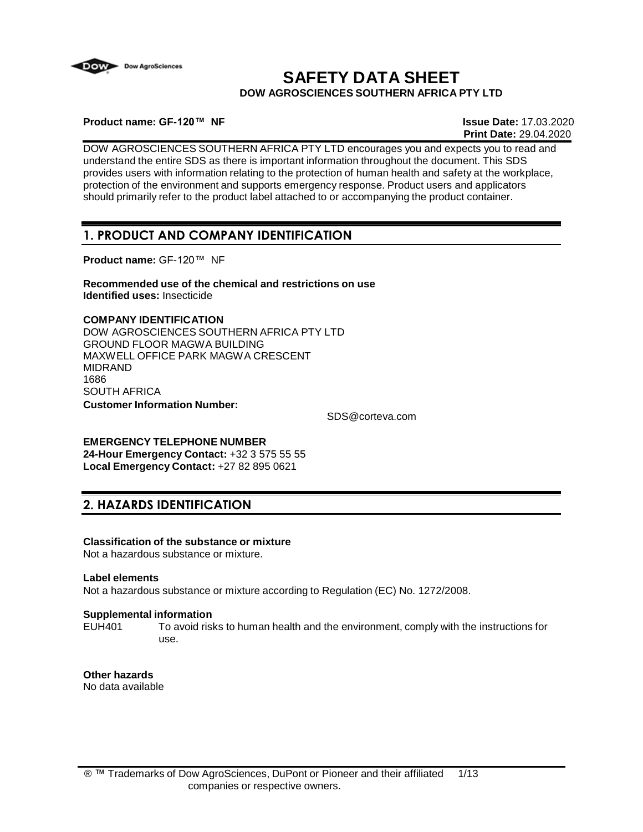

# **SAFETY DATA SHEET DOW AGROSCIENCES SOUTHERN AFRICA PTY LTD**

**Product name: GF-120™ NF Issue Date:** 17.03.2020

**Print Date:** 29.04.2020

DOW AGROSCIENCES SOUTHERN AFRICA PTY LTD encourages you and expects you to read and understand the entire SDS as there is important information throughout the document. This SDS provides users with information relating to the protection of human health and safety at the workplace, protection of the environment and supports emergency response. Product users and applicators should primarily refer to the product label attached to or accompanying the product container.

# **1. PRODUCT AND COMPANY IDENTIFICATION**

**Product name:** GF-120™ NF

**Recommended use of the chemical and restrictions on use Identified uses:** Insecticide

### **COMPANY IDENTIFICATION**

DOW AGROSCIENCES SOUTHERN AFRICA PTY LTD GROUND FLOOR MAGWA BUILDING MAXWELL OFFICE PARK MAGWA CRESCENT MIDRAND 1686 SOUTH AFRICA **Customer Information Number:**

[SDS@corteva.com](mailto:SDS@corteva.com)

**EMERGENCY TELEPHONE NUMBER**

**24-Hour Emergency Contact:** +32 3 575 55 55 **Local Emergency Contact:** +27 82 895 0621

# **2. HAZARDS IDENTIFICATION**

## **Classification of the substance or mixture**

Not a hazardous substance or mixture.

#### **Label elements**

Not a hazardous substance or mixture according to Regulation (EC) No. 1272/2008.

#### **Supplemental information**

EUH401 To avoid risks to human health and the environment, comply with the instructions for use.

**Other hazards** No data available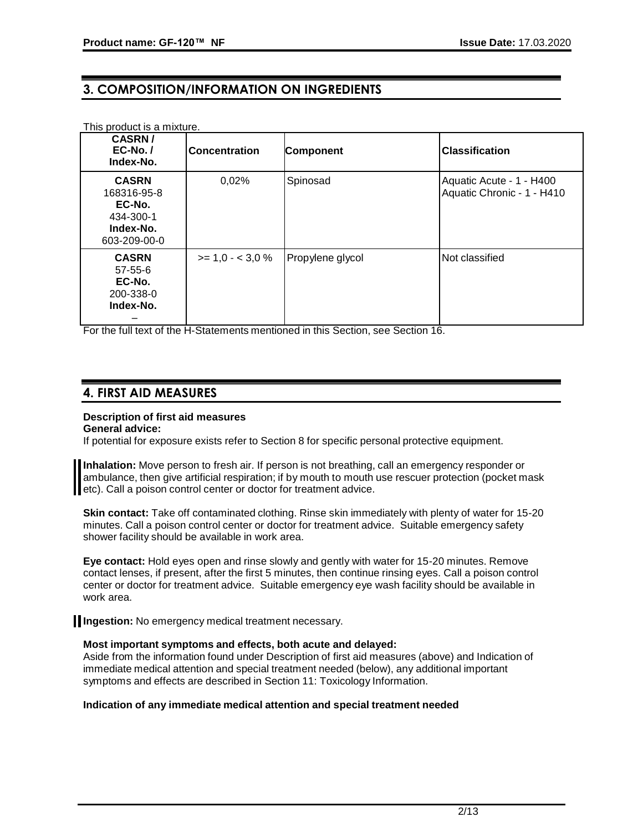# **3. COMPOSITION/INFORMATION ON INGREDIENTS**

| This product is a mixture.                                                      |                      |                  |                                                        |
|---------------------------------------------------------------------------------|----------------------|------------------|--------------------------------------------------------|
| <b>CASRN/</b><br>$EC-No.$<br>Index-No.                                          | <b>Concentration</b> | <b>Component</b> | <b>Classification</b>                                  |
| <b>CASRN</b><br>168316-95-8<br>EC-No.<br>434-300-1<br>Index-No.<br>603-209-00-0 | 0,02%                | Spinosad         | Aquatic Acute - 1 - H400<br>Aquatic Chronic - 1 - H410 |
| <b>CASRN</b><br>$57 - 55 - 6$<br>EC-No.<br>200-338-0<br>Index-No.               | $>= 1.0 - < 3.0 \%$  | Propylene glycol | Not classified                                         |

For the full text of the H-Statements mentioned in this Section, see Section 16.

## **4. FIRST AID MEASURES**

### **Description of first aid measures**

**General advice:**

If potential for exposure exists refer to Section 8 for specific personal protective equipment.

**Inhalation:** Move person to fresh air. If person is not breathing, call an emergency responder or ambulance, then give artificial respiration; if by mouth to mouth use rescuer protection (pocket mask etc). Call a poison control center or doctor for treatment advice.

**Skin contact:** Take off contaminated clothing. Rinse skin immediately with plenty of water for 15-20 minutes. Call a poison control center or doctor for treatment advice. Suitable emergency safety shower facility should be available in work area.

**Eye contact:** Hold eyes open and rinse slowly and gently with water for 15-20 minutes. Remove contact lenses, if present, after the first 5 minutes, then continue rinsing eyes. Call a poison control center or doctor for treatment advice. Suitable emergency eye wash facility should be available in work area.

**Il Ingestion:** No emergency medical treatment necessary.

#### **Most important symptoms and effects, both acute and delayed:**

Aside from the information found under Description of first aid measures (above) and Indication of immediate medical attention and special treatment needed (below), any additional important symptoms and effects are described in Section 11: Toxicology Information.

#### **Indication of any immediate medical attention and special treatment needed**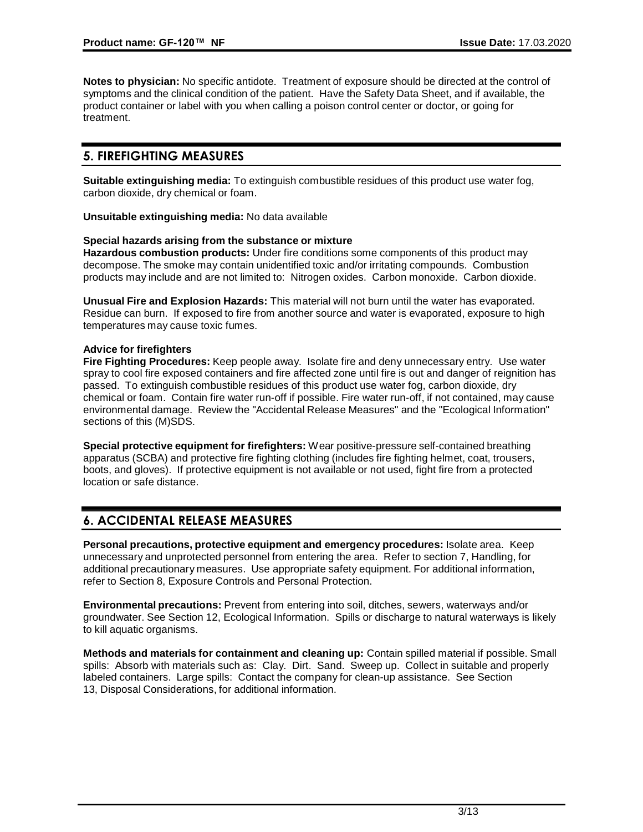**Notes to physician:** No specific antidote. Treatment of exposure should be directed at the control of symptoms and the clinical condition of the patient. Have the Safety Data Sheet, and if available, the product container or label with you when calling a poison control center or doctor, or going for treatment.

# **5. FIREFIGHTING MEASURES**

**Suitable extinguishing media:** To extinguish combustible residues of this product use water fog, carbon dioxide, dry chemical or foam.

**Unsuitable extinguishing media:** No data available

#### **Special hazards arising from the substance or mixture**

**Hazardous combustion products:** Under fire conditions some components of this product may decompose. The smoke may contain unidentified toxic and/or irritating compounds. Combustion products may include and are not limited to: Nitrogen oxides. Carbon monoxide. Carbon dioxide.

**Unusual Fire and Explosion Hazards:** This material will not burn until the water has evaporated. Residue can burn. If exposed to fire from another source and water is evaporated, exposure to high temperatures may cause toxic fumes.

#### **Advice for firefighters**

**Fire Fighting Procedures:** Keep people away. Isolate fire and deny unnecessary entry. Use water spray to cool fire exposed containers and fire affected zone until fire is out and danger of reignition has passed. To extinguish combustible residues of this product use water fog, carbon dioxide, dry chemical or foam. Contain fire water run-off if possible. Fire water run-off, if not contained, may cause environmental damage. Review the "Accidental Release Measures" and the "Ecological Information" sections of this (M)SDS.

**Special protective equipment for firefighters:** Wear positive-pressure self-contained breathing apparatus (SCBA) and protective fire fighting clothing (includes fire fighting helmet, coat, trousers, boots, and gloves). If protective equipment is not available or not used, fight fire from a protected location or safe distance.

# **6. ACCIDENTAL RELEASE MEASURES**

**Personal precautions, protective equipment and emergency procedures:** Isolate area. Keep unnecessary and unprotected personnel from entering the area. Refer to section 7, Handling, for additional precautionary measures. Use appropriate safety equipment. For additional information, refer to Section 8, Exposure Controls and Personal Protection.

**Environmental precautions:** Prevent from entering into soil, ditches, sewers, waterways and/or groundwater. See Section 12, Ecological Information. Spills or discharge to natural waterways is likely to kill aquatic organisms.

**Methods and materials for containment and cleaning up:** Contain spilled material if possible. Small spills: Absorb with materials such as: Clay. Dirt. Sand. Sweep up. Collect in suitable and properly labeled containers. Large spills: Contact the company for clean-up assistance. See Section 13, Disposal Considerations, for additional information.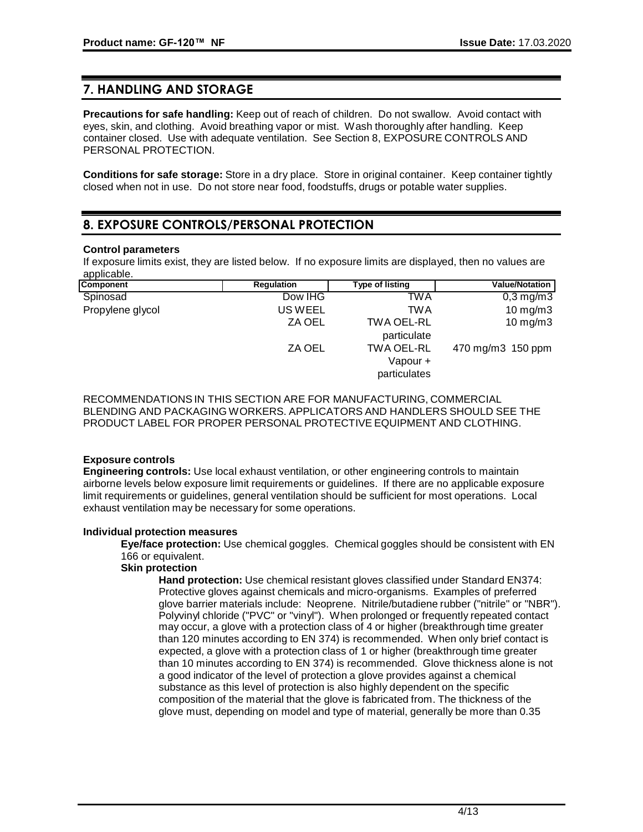# **7. HANDLING AND STORAGE**

**Precautions for safe handling:** Keep out of reach of children. Do not swallow. Avoid contact with eyes, skin, and clothing. Avoid breathing vapor or mist. Wash thoroughly after handling. Keep container closed. Use with adequate ventilation. See Section 8, EXPOSURE CONTROLS AND PERSONAL PROTECTION.

**Conditions for safe storage:** Store in a dry place. Store in original container. Keep container tightly closed when not in use. Do not store near food, foodstuffs, drugs or potable water supplies.

# **8. EXPOSURE CONTROLS/PERSONAL PROTECTION**

### **Control parameters**

If exposure limits exist, they are listed below. If no exposure limits are displayed, then no values are applicable.

| <b>Component</b> | <b>Regulation</b> | Type of listing | <b>Value/Notation</b> |
|------------------|-------------------|-----------------|-----------------------|
| Spinosad         | Dow IHG           | TWA             | $0,3$ mg/m $3$        |
| Propylene glycol | US WEEL           | TWA             | $10 \text{ mg/m}$ 3   |
|                  | ZA OEL            | TWA OEL-RL      | $10 \text{ mg/m}$ 3   |
|                  |                   | particulate     |                       |
|                  | ZA OEL            | TWA OEL-RL      | 470 mg/m3 150 ppm     |
|                  |                   | Vapour +        |                       |
|                  |                   | particulates    |                       |

RECOMMENDATIONSIN THIS SECTION ARE FOR MANUFACTURING, COMMERCIAL BLENDING AND PACKAGING WORKERS. APPLICATORS AND HANDLERS SHOULD SEE THE PRODUCT LABEL FOR PROPER PERSONAL PROTECTIVE EQUIPMENT AND CLOTHING.

### **Exposure controls**

**Engineering controls:** Use local exhaust ventilation, or other engineering controls to maintain airborne levels below exposure limit requirements or guidelines. If there are no applicable exposure limit requirements or guidelines, general ventilation should be sufficient for most operations. Local exhaust ventilation may be necessary for some operations.

#### **Individual protection measures**

**Eye/face protection:** Use chemical goggles. Chemical goggles should be consistent with EN 166 or equivalent.

### **Skin protection**

**Hand protection:** Use chemical resistant gloves classified under Standard EN374: Protective gloves against chemicals and micro-organisms. Examples of preferred glove barrier materials include: Neoprene. Nitrile/butadiene rubber ("nitrile" or "NBR"). Polyvinyl chloride ("PVC" or "vinyl"). When prolonged or frequently repeated contact may occur, a glove with a protection class of 4 or higher (breakthrough time greater than 120 minutes according to EN 374) is recommended. When only brief contact is expected, a glove with a protection class of 1 or higher (breakthrough time greater than 10 minutes according to EN 374) is recommended. Glove thickness alone is not a good indicator of the level of protection a glove provides against a chemical substance as this level of protection is also highly dependent on the specific composition of the material that the glove is fabricated from. The thickness of the glove must, depending on model and type of material, generally be more than 0.35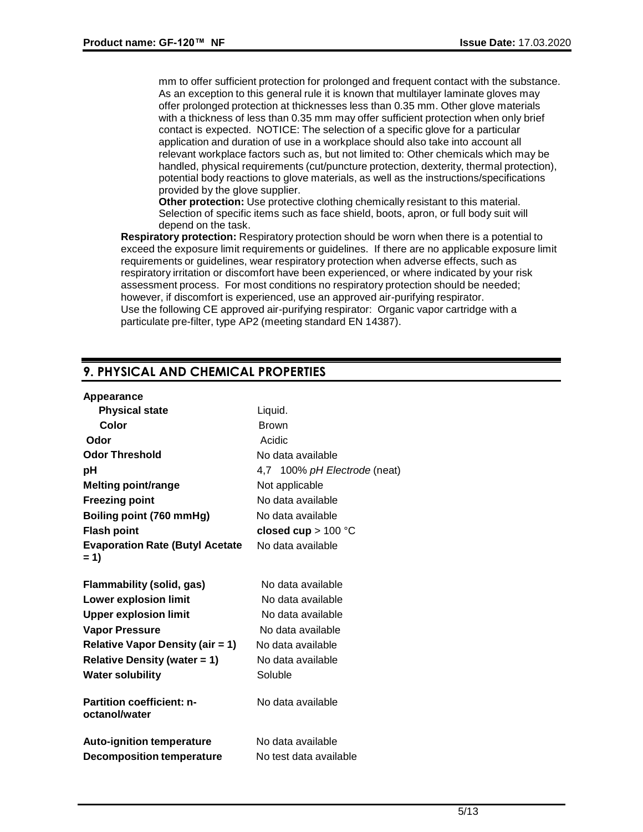mm to offer sufficient protection for prolonged and frequent contact with the substance. As an exception to this general rule it is known that multilayer laminate gloves may offer prolonged protection at thicknesses less than 0.35 mm. Other glove materials with a thickness of less than 0.35 mm may offer sufficient protection when only brief contact is expected. NOTICE: The selection of a specific glove for a particular application and duration of use in a workplace should also take into account all relevant workplace factors such as, but not limited to: Other chemicals which may be handled, physical requirements (cut/puncture protection, dexterity, thermal protection), potential body reactions to glove materials, as well as the instructions/specifications provided by the glove supplier.

**Other protection:** Use protective clothing chemically resistant to this material. Selection of specific items such as face shield, boots, apron, or full body suit will depend on the task.

**Respiratory protection:** Respiratory protection should be worn when there is a potential to exceed the exposure limit requirements or guidelines. If there are no applicable exposure limit requirements or guidelines, wear respiratory protection when adverse effects, such as respiratory irritation or discomfort have been experienced, or where indicated by your risk assessment process. For most conditions no respiratory protection should be needed; however, if discomfort is experienced, use an approved air-purifying respirator. Use the following CE approved air-purifying respirator: Organic vapor cartridge with a particulate pre-filter, type AP2 (meeting standard EN 14387).

# **9. PHYSICAL AND CHEMICAL PROPERTIES**

| <b>Physical state</b>                             | Liquid.                      |
|---------------------------------------------------|------------------------------|
| Color                                             | <b>Brown</b>                 |
| Odor                                              | Acidic                       |
| <b>Odor Threshold</b>                             | No data available            |
| pH                                                | 4,7 100% pH Electrode (neat) |
| <b>Melting point/range</b>                        | Not applicable               |
| <b>Freezing point</b>                             | No data available            |
| Boiling point (760 mmHg)                          | No data available            |
| <b>Flash point</b>                                | closed cup $> 100$ °C        |
| <b>Evaporation Rate (Butyl Acetate</b>            | No data available            |
| $= 1$                                             |                              |
| Flammability (solid, gas)                         | No data available            |
| <b>Lower explosion limit</b>                      | No data available            |
| <b>Upper explosion limit</b>                      | No data available            |
| <b>Vapor Pressure</b>                             | No data available            |
| <b>Relative Vapor Density (air = 1)</b>           | No data available            |
| <b>Relative Density (water = 1)</b>               | No data available            |
| <b>Water solubility</b>                           | Soluble                      |
|                                                   |                              |
| <b>Partition coefficient: n-</b><br>octanol/water | No data available            |
|                                                   |                              |
| <b>Auto-ignition temperature</b>                  | No data available            |
| <b>Decomposition temperature</b>                  | No test data available       |
|                                                   |                              |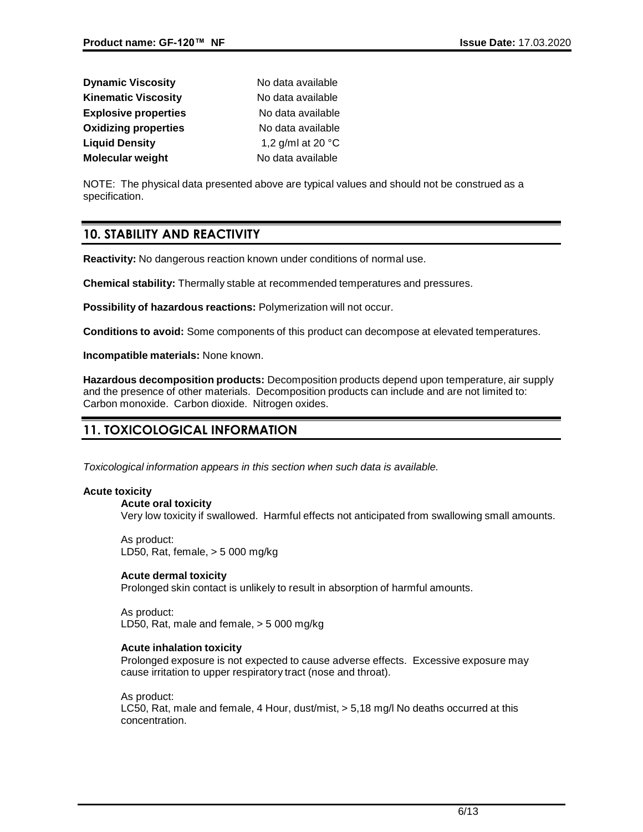| <b>Dynamic Viscosity</b>    | No data available           |
|-----------------------------|-----------------------------|
| <b>Kinematic Viscosity</b>  | No data available           |
| <b>Explosive properties</b> | No data available           |
| <b>Oxidizing properties</b> | No data available           |
| <b>Liquid Density</b>       | 1,2 g/ml at 20 $^{\circ}$ C |
| Molecular weight            | No data available           |

NOTE: The physical data presented above are typical values and should not be construed as a specification.

## **10. STABILITY AND REACTIVITY**

**Reactivity:** No dangerous reaction known under conditions of normal use.

**Chemical stability:** Thermally stable at recommended temperatures and pressures.

**Possibility of hazardous reactions:** Polymerization will not occur.

**Conditions to avoid:** Some components of this product can decompose at elevated temperatures.

**Incompatible materials:** None known.

**Hazardous decomposition products:** Decomposition products depend upon temperature, air supply and the presence of other materials. Decomposition products can include and are not limited to: Carbon monoxide. Carbon dioxide. Nitrogen oxides.

# **11. TOXICOLOGICAL INFORMATION**

*Toxicological information appears in this section when such data is available.*

#### **Acute toxicity**

#### **Acute oral toxicity**

Very low toxicity if swallowed. Harmful effects not anticipated from swallowing small amounts.

As product: LD50, Rat, female, > 5 000 mg/kg

#### **Acute dermal toxicity**

Prolonged skin contact is unlikely to result in absorption of harmful amounts.

As product: LD50, Rat, male and female, > 5 000 mg/kg

#### **Acute inhalation toxicity**

Prolonged exposure is not expected to cause adverse effects. Excessive exposure may cause irritation to upper respiratory tract (nose and throat).

As product: LC50, Rat, male and female, 4 Hour, dust/mist, > 5,18 mg/l No deaths occurred at this concentration.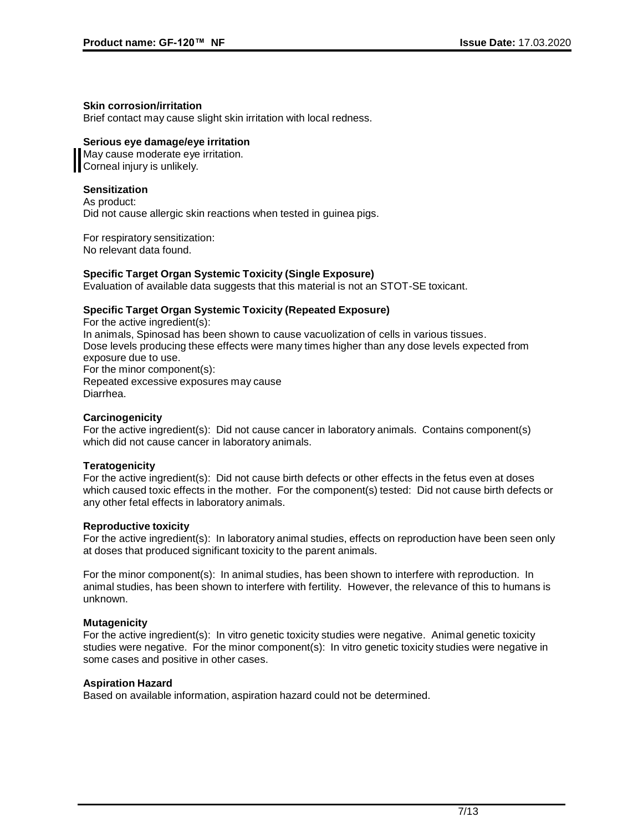#### **Skin corrosion/irritation**

Brief contact may cause slight skin irritation with local redness.

### **Serious eye damage/eye irritation**

May cause moderate eye irritation. Corneal injury is unlikely.

### **Sensitization**

As product: Did not cause allergic skin reactions when tested in guinea pigs.

For respiratory sensitization: No relevant data found.

### **Specific Target Organ Systemic Toxicity (Single Exposure)**

Evaluation of available data suggests that this material is not an STOT-SE toxicant.

### **Specific Target Organ Systemic Toxicity (Repeated Exposure)**

For the active ingredient(s): In animals, Spinosad has been shown to cause vacuolization of cells in various tissues. Dose levels producing these effects were many times higher than any dose levels expected from exposure due to use. For the minor component(s): Repeated excessive exposures may cause Diarrhea.

#### **Carcinogenicity**

For the active ingredient(s): Did not cause cancer in laboratory animals. Contains component(s) which did not cause cancer in laboratory animals.

#### **Teratogenicity**

For the active ingredient(s): Did not cause birth defects or other effects in the fetus even at doses which caused toxic effects in the mother. For the component(s) tested: Did not cause birth defects or any other fetal effects in laboratory animals.

#### **Reproductive toxicity**

For the active ingredient(s): In laboratory animal studies, effects on reproduction have been seen only at doses that produced significant toxicity to the parent animals.

For the minor component(s): In animal studies, has been shown to interfere with reproduction. In animal studies, has been shown to interfere with fertility. However, the relevance of this to humans is unknown.

#### **Mutagenicity**

For the active ingredient(s): In vitro genetic toxicity studies were negative. Animal genetic toxicity studies were negative. For the minor component(s): In vitro genetic toxicity studies were negative in some cases and positive in other cases.

#### **Aspiration Hazard**

Based on available information, aspiration hazard could not be determined.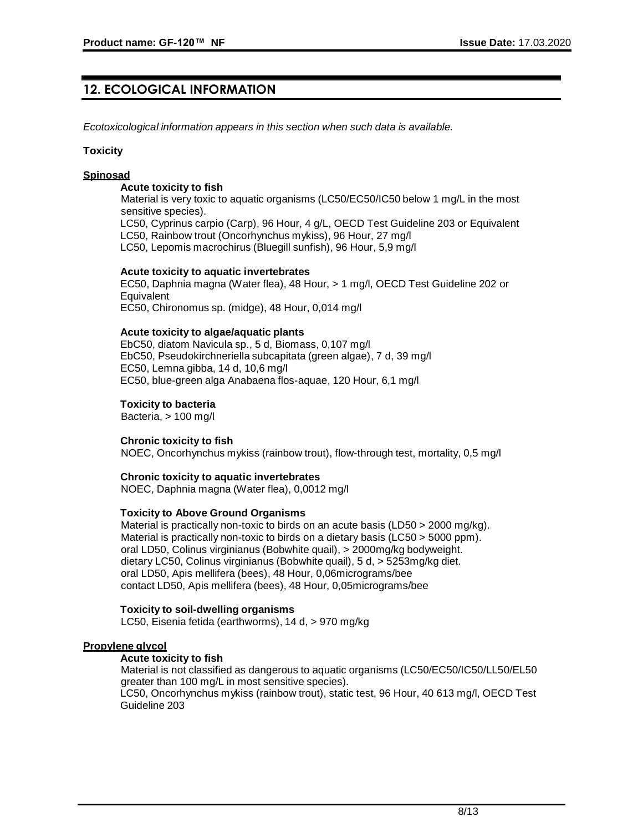# **12. ECOLOGICAL INFORMATION**

*Ecotoxicological information appears in this section when such data is available.*

#### **Toxicity**

#### **Spinosad**

#### **Acute toxicity to fish**

Material is very toxic to aquatic organisms (LC50/EC50/IC50 below 1 mg/L in the most sensitive species).

LC50, Cyprinus carpio (Carp), 96 Hour, 4 g/L, OECD Test Guideline 203 or Equivalent LC50, Rainbow trout (Oncorhynchus mykiss), 96 Hour, 27 mg/l

LC50, Lepomis macrochirus (Bluegill sunfish), 96 Hour, 5,9 mg/l

#### **Acute toxicity to aquatic invertebrates**

EC50, Daphnia magna (Water flea), 48 Hour, > 1 mg/l, OECD Test Guideline 202 or **Equivalent** EC50, Chironomus sp. (midge), 48 Hour, 0,014 mg/l

#### **Acute toxicity to algae/aquatic plants**

EbC50, diatom Navicula sp., 5 d, Biomass, 0,107 mg/l EbC50, Pseudokirchneriella subcapitata (green algae), 7 d, 39 mg/l EC50, Lemna gibba, 14 d, 10,6 mg/l EC50, blue-green alga Anabaena flos-aquae, 120 Hour, 6,1 mg/l

#### **Toxicity to bacteria**

Bacteria, > 100 mg/l

#### **Chronic toxicity to fish**

NOEC, Oncorhynchus mykiss (rainbow trout), flow-through test, mortality, 0,5 mg/l

#### **Chronic toxicity to aquatic invertebrates**

NOEC, Daphnia magna (Water flea), 0,0012 mg/l

#### **Toxicity to Above Ground Organisms**

Material is practically non-toxic to birds on an acute basis (LD50 > 2000 mg/kg). Material is practically non-toxic to birds on a dietary basis (LC50 > 5000 ppm). oral LD50, Colinus virginianus (Bobwhite quail), > 2000mg/kg bodyweight. dietary LC50, Colinus virginianus (Bobwhite quail), 5 d, > 5253mg/kg diet. oral LD50, Apis mellifera (bees), 48 Hour, 0,06micrograms/bee contact LD50, Apis mellifera (bees), 48 Hour, 0,05micrograms/bee

#### **Toxicity to soil-dwelling organisms**

LC50, Eisenia fetida (earthworms), 14 d, > 970 mg/kg

#### **Propylene glycol**

#### **Acute toxicity to fish**

Material is not classified as dangerous to aquatic organisms (LC50/EC50/IC50/LL50/EL50 greater than 100 mg/L in most sensitive species). LC50, Oncorhynchus mykiss (rainbow trout), static test, 96 Hour, 40 613 mg/l, OECD Test Guideline 203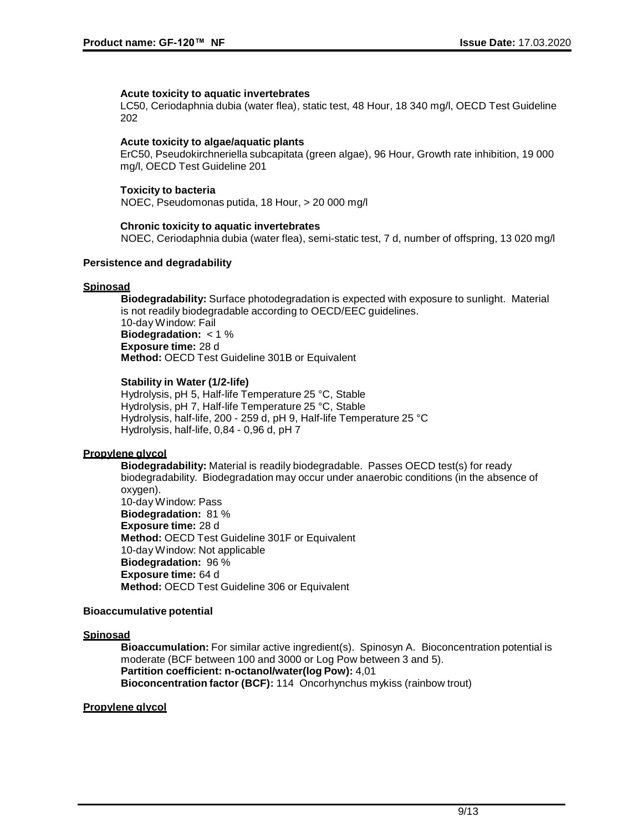#### **Acute toxicity to aquatic invertebrates**

LC50, Ceriodaphnia dubia (water flea), static test, 48 Hour, 18 340 mg/l, OECD Test Guideline 202

#### **Acute toxicity to algae/aquatic plants**

ErC50, Pseudokirchneriella subcapitata (green algae), 96 Hour, Growth rate inhibition, 19 000 mg/l, OECD Test Guideline 201

#### **Toxicity to bacteria**

NOEC, Pseudomonas putida, 18 Hour, > 20 000 mg/l

#### **Chronic toxicity to aquatic invertebrates**

NOEC, Ceriodaphnia dubia (water flea), semi-static test, 7 d, number of offspring, 13 020 mg/l

#### **Persistence and degradability**

#### **Spinosad**

**Biodegradability:** Surface photodegradation is expected with exposure to sunlight. Material is not readily biodegradable according to OECD/EEC guidelines. 10-day Window: Fail **Biodegradation:** < 1 % **Exposure time:** 28 d **Method:** OECD Test Guideline 301B or Equivalent

#### **Stability in Water (1/2-life)**

Hydrolysis, pH 5, Half-life Temperature 25 °C, Stable Hydrolysis, pH 7, Half-life Temperature 25 °C, Stable Hydrolysis, half-life, 200 - 259 d, pH 9, Half-life Temperature 25 °C Hydrolysis, half-life, 0,84 - 0,96 d, pH 7

### **Propylene glycol**

**Biodegradability:** Material is readily biodegradable. Passes OECD test(s) for ready biodegradability. Biodegradation may occur under anaerobic conditions (in the absence of oxygen). 10-day Window: Pass **Biodegradation:** 81 % **Exposure time:** 28 d **Method:** OECD Test Guideline 301F or Equivalent 10-day Window: Not applicable **Biodegradation:** 96 % **Exposure time:** 64 d **Method:** OECD Test Guideline 306 or Equivalent

#### **Bioaccumulative potential**

#### **Spinosad**

**Bioaccumulation:** For similar active ingredient(s). Spinosyn A. Bioconcentration potential is moderate (BCF between 100 and 3000 or Log Pow between 3 and 5). **Partition coefficient: n-octanol/water(log Pow):** 4,01 **Bioconcentration factor (BCF):** 114 Oncorhynchus mykiss (rainbow trout)

#### **Propylene glycol**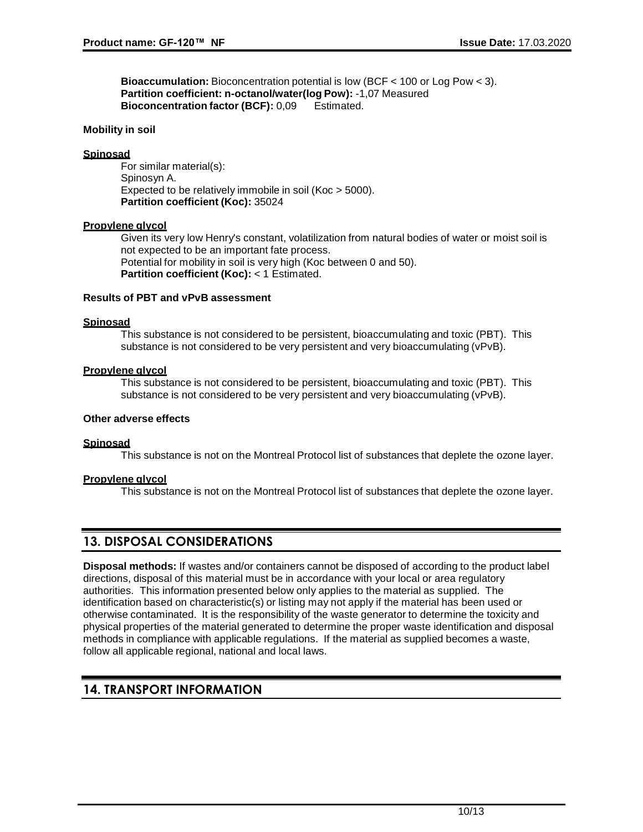**Bioaccumulation:** Bioconcentration potential is low (BCF < 100 or Log Pow < 3). **Partition coefficient: n-octanol/water(log Pow):** -1,07 Measured **Bioconcentration factor (BCF):** 0,09 Estimated.

#### **Mobility in soil**

#### **Spinosad**

For similar material(s): Spinosyn A. Expected to be relatively immobile in soil (Koc > 5000). **Partition coefficient (Koc):** 35024

#### **Propylene glycol**

Given its very low Henry's constant, volatilization from natural bodies of water or moist soil is not expected to be an important fate process. Potential for mobility in soil is very high (Koc between 0 and 50). **Partition coefficient (Koc):** < 1 Estimated.

#### **Results of PBT and vPvB assessment**

#### **Spinosad**

This substance is not considered to be persistent, bioaccumulating and toxic (PBT). This substance is not considered to be very persistent and very bioaccumulating (vPvB).

#### **Propylene glycol**

This substance is not considered to be persistent, bioaccumulating and toxic (PBT). This substance is not considered to be very persistent and very bioaccumulating (vPvB).

#### **Other adverse effects**

#### **Spinosad**

This substance is not on the Montreal Protocol list of substances that deplete the ozone layer.

#### **Propylene glycol**

This substance is not on the Montreal Protocol list of substances that deplete the ozone layer.

## **13. DISPOSAL CONSIDERATIONS**

**Disposal methods:** If wastes and/or containers cannot be disposed of according to the product label directions, disposal of this material must be in accordance with your local or area regulatory authorities. This information presented below only applies to the material as supplied. The identification based on characteristic(s) or listing may not apply if the material has been used or otherwise contaminated. It is the responsibility of the waste generator to determine the toxicity and physical properties of the material generated to determine the proper waste identification and disposal methods in compliance with applicable regulations. If the material as supplied becomes a waste, follow all applicable regional, national and local laws.

## **14. TRANSPORT INFORMATION**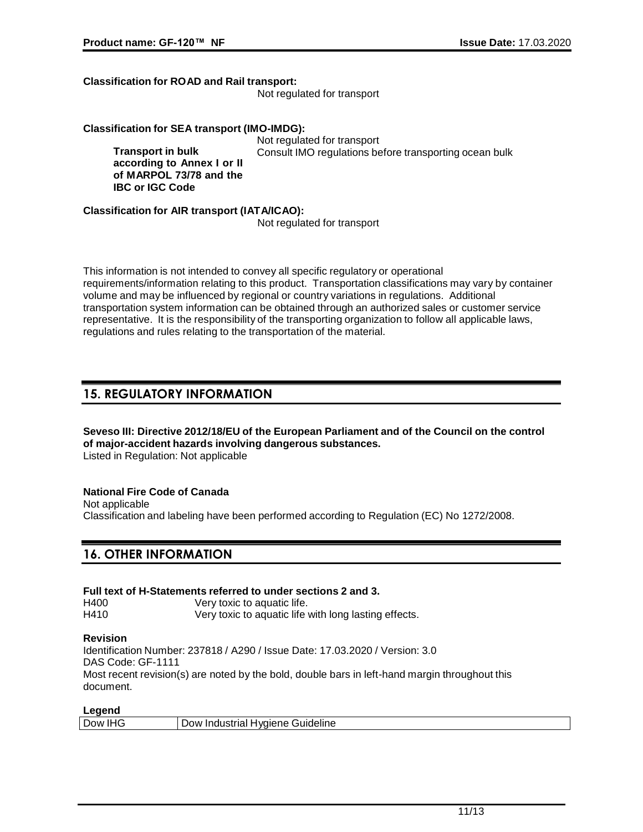**Transport in bulk**

**IBC or IGC Code**

#### **Classification for ROAD and Rail transport:**

Not regulated for transport

#### **Classification for SEA transport (IMO-IMDG):**

Not regulated for transport **according to Annex I or II of MARPOL 73/78 and the**  Consult IMO regulations before transporting ocean bulk

**Classification for AIR transport (IATA/ICAO):**

Not regulated for transport

This information is not intended to convey all specific regulatory or operational requirements/information relating to this product. Transportation classifications may vary by container volume and may be influenced by regional or country variations in regulations. Additional transportation system information can be obtained through an authorized sales or customer service representative. It is the responsibility of the transporting organization to follow all applicable laws, regulations and rules relating to the transportation of the material.

## **15. REGULATORY INFORMATION**

#### **Seveso III: Directive 2012/18/EU of the European Parliament and of the Council on the control of major-accident hazards involving dangerous substances.** Listed in Regulation: Not applicable

**National Fire Code of Canada** Not applicable Classification and labeling have been performed according to Regulation (EC) No 1272/2008.

# **16. OTHER INFORMATION**

| Full text of H-Statements referred to under sections 2 and 3. |                                                       |  |
|---------------------------------------------------------------|-------------------------------------------------------|--|
| H400                                                          | Very toxic to aquatic life.                           |  |
| H410                                                          | Very toxic to aquatic life with long lasting effects. |  |

#### **Revision**

Identification Number: 237818 / A290 / Issue Date: 17.03.2020 / Version: 3.0 DAS Code: GF-1111 Most recent revision(s) are noted by the bold, double bars in left-hand margin throughout this document.

### **Legend**

| Dow IHG | Dow Industrial Hygiene Guideline |
|---------|----------------------------------|
|         |                                  |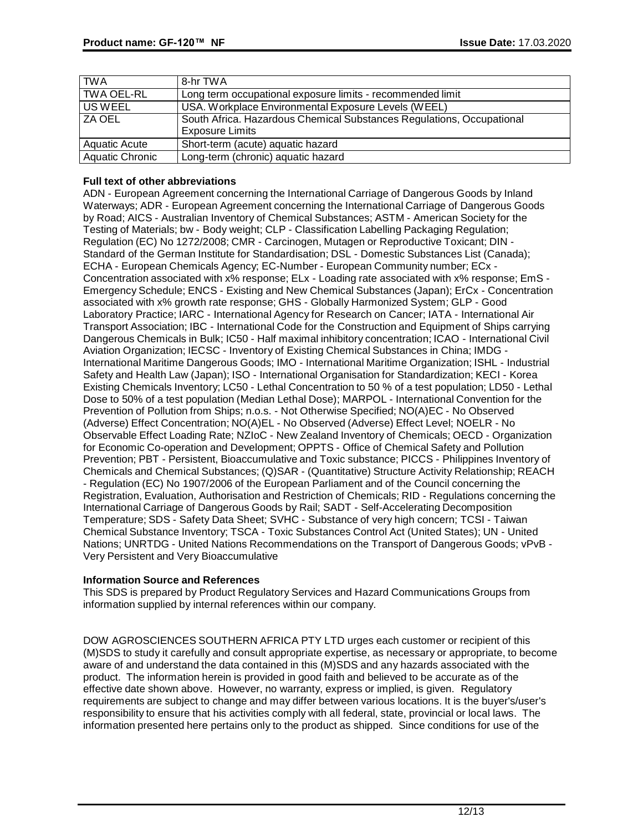| <b>TWA</b>             | 8-hr TWA                                                              |
|------------------------|-----------------------------------------------------------------------|
| TWA OEL-RL             | Long term occupational exposure limits - recommended limit            |
| US WEEL                | USA. Workplace Environmental Exposure Levels (WEEL)                   |
| I ZA OEL               | South Africa. Hazardous Chemical Substances Regulations, Occupational |
|                        | <b>Exposure Limits</b>                                                |
| <b>Aquatic Acute</b>   | Short-term (acute) aquatic hazard                                     |
| <b>Aquatic Chronic</b> | Long-term (chronic) aquatic hazard                                    |

### **Full text of other abbreviations**

ADN - European Agreement concerning the International Carriage of Dangerous Goods by Inland Waterways; ADR - European Agreement concerning the International Carriage of Dangerous Goods by Road; AICS - Australian Inventory of Chemical Substances; ASTM - American Society for the Testing of Materials; bw - Body weight; CLP - Classification Labelling Packaging Regulation; Regulation (EC) No 1272/2008; CMR - Carcinogen, Mutagen or Reproductive Toxicant; DIN - Standard of the German Institute for Standardisation; DSL - Domestic Substances List (Canada); ECHA - European Chemicals Agency; EC-Number - European Community number; ECx - Concentration associated with x% response; ELx - Loading rate associated with x% response; EmS - Emergency Schedule; ENCS - Existing and New Chemical Substances (Japan); ErCx - Concentration associated with x% growth rate response; GHS - Globally Harmonized System; GLP - Good Laboratory Practice; IARC - International Agency for Research on Cancer; IATA - International Air Transport Association; IBC - International Code for the Construction and Equipment of Ships carrying Dangerous Chemicals in Bulk; IC50 - Half maximal inhibitory concentration; ICAO - International Civil Aviation Organization; IECSC - Inventory of Existing Chemical Substances in China; IMDG - International Maritime Dangerous Goods; IMO - International Maritime Organization; ISHL - Industrial Safety and Health Law (Japan); ISO - International Organisation for Standardization; KECI - Korea Existing Chemicals Inventory; LC50 - Lethal Concentration to 50 % of a test population; LD50 - Lethal Dose to 50% of a test population (Median Lethal Dose); MARPOL - International Convention for the Prevention of Pollution from Ships; n.o.s. - Not Otherwise Specified; NO(A)EC - No Observed (Adverse) Effect Concentration; NO(A)EL - No Observed (Adverse) Effect Level; NOELR - No Observable Effect Loading Rate; NZIoC - New Zealand Inventory of Chemicals; OECD - Organization for Economic Co-operation and Development; OPPTS - Office of Chemical Safety and Pollution Prevention; PBT - Persistent, Bioaccumulative and Toxic substance; PICCS - Philippines Inventory of Chemicals and Chemical Substances; (Q)SAR - (Quantitative) Structure Activity Relationship; REACH - Regulation (EC) No 1907/2006 of the European Parliament and of the Council concerning the Registration, Evaluation, Authorisation and Restriction of Chemicals; RID - Regulations concerning the International Carriage of Dangerous Goods by Rail; SADT - Self-Accelerating Decomposition Temperature; SDS - Safety Data Sheet; SVHC - Substance of very high concern; TCSI - Taiwan Chemical Substance Inventory; TSCA - Toxic Substances Control Act (United States); UN - United Nations; UNRTDG - United Nations Recommendations on the Transport of Dangerous Goods; vPvB - Very Persistent and Very Bioaccumulative

#### **Information Source and References**

This SDS is prepared by Product Regulatory Services and Hazard Communications Groups from information supplied by internal references within our company.

DOW AGROSCIENCES SOUTHERN AFRICA PTY LTD urges each customer or recipient of this (M)SDS to study it carefully and consult appropriate expertise, as necessary or appropriate, to become aware of and understand the data contained in this (M)SDS and any hazards associated with the product. The information herein is provided in good faith and believed to be accurate as of the effective date shown above. However, no warranty, express or implied, is given. Regulatory requirements are subject to change and may differ between various locations. It is the buyer's/user's responsibility to ensure that his activities comply with all federal, state, provincial or local laws. The information presented here pertains only to the product as shipped. Since conditions for use of the